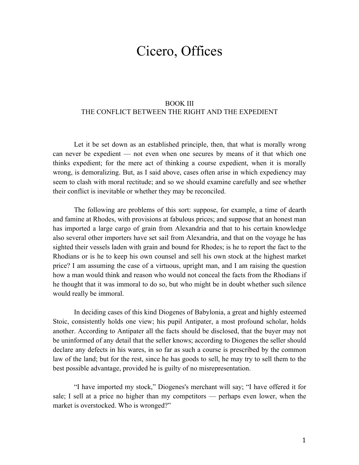## Cicero, Offices

## BOOK III THE CONFLICT BETWEEN THE RIGHT AND THE EXPEDIENT

Let it be set down as an established principle, then, that what is morally wrong can never be expedient — not even when one secures by means of it that which one thinks expedient; for the mere act of thinking a course expedient, when it is morally wrong, is demoralizing. But, as I said above, cases often arise in which expediency may seem to clash with moral rectitude; and so we should examine carefully and see whether their conflict is inevitable or whether they may be reconciled.

The following are problems of this sort: suppose, for example, a time of dearth and famine at Rhodes, with provisions at fabulous prices; and suppose that an honest man has imported a large cargo of grain from Alexandria and that to his certain knowledge also several other importers have set sail from Alexandria, and that on the voyage he has sighted their vessels laden with grain and bound for Rhodes; is he to report the fact to the Rhodians or is he to keep his own counsel and sell his own stock at the highest market price? I am assuming the case of a virtuous, upright man, and I am raising the question how a man would think and reason who would not conceal the facts from the Rhodians if he thought that it was immoral to do so, but who might be in doubt whether such silence would really be immoral.

In deciding cases of this kind Diogenes of Babylonia, a great and highly esteemed Stoic, consistently holds one view; his pupil Antipater, a most profound scholar, holds another. According to Antipater all the facts should be disclosed, that the buyer may not be uninformed of any detail that the seller knows; according to Diogenes the seller should declare any defects in his wares, in so far as such a course is prescribed by the common law of the land; but for the rest, since he has goods to sell, he may try to sell them to the best possible advantage, provided he is guilty of no misrepresentation.

"I have imported my stock," Diogenes's merchant will say; "I have offered it for sale; I sell at a price no higher than my competitors — perhaps even lower, when the market is overstocked. Who is wronged?"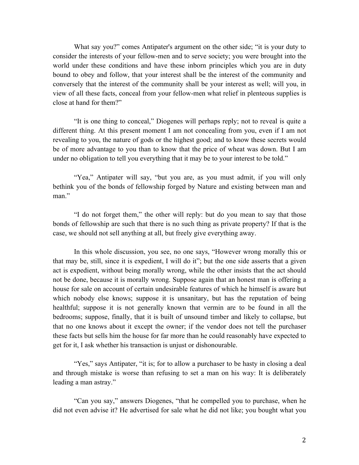What say you?" comes Antipater's argument on the other side; "it is your duty to consider the interests of your fellow-men and to serve society; you were brought into the world under these conditions and have these inborn principles which you are in duty bound to obey and follow, that your interest shall be the interest of the community and conversely that the interest of the community shall be your interest as well; will you, in view of all these facts, conceal from your fellow-men what relief in plenteous supplies is close at hand for them?"

"It is one thing to conceal," Diogenes will perhaps reply; not to reveal is quite a different thing. At this present moment I am not concealing from you, even if I am not revealing to you, the nature of gods or the highest good; and to know these secrets would be of more advantage to you than to know that the price of wheat was down. But I am under no obligation to tell you everything that it may be to your interest to be told."

"Yea," Antipater will say, "but you are, as you must admit, if you will only bethink you of the bonds of fellowship forged by Nature and existing between man and man."

"I do not forget them," the other will reply: but do you mean to say that those bonds of fellowship are such that there is no such thing as private property? If that is the case, we should not sell anything at all, but freely give everything away.

In this whole discussion, you see, no one says, "However wrong morally this or that may be, still, since it is expedient, I will do it"; but the one side asserts that a given act is expedient, without being morally wrong, while the other insists that the act should not be done, because it is morally wrong. Suppose again that an honest man is offering a house for sale on account of certain undesirable features of which he himself is aware but which nobody else knows; suppose it is unsanitary, but has the reputation of being healthful; suppose it is not generally known that vermin are to be found in all the bedrooms; suppose, finally, that it is built of unsound timber and likely to collapse, but that no one knows about it except the owner; if the vendor does not tell the purchaser these facts but sells him the house for far more than he could reasonably have expected to get for it, I ask whether his transaction is unjust or dishonourable.

"Yes," says Antipater, "it is; for to allow a purchaser to be hasty in closing a deal and through mistake is worse than refusing to set a man on his way: It is deliberately leading a man astray."

"Can you say," answers Diogenes, "that he compelled you to purchase, when he did not even advise it? He advertised for sale what he did not like; you bought what you